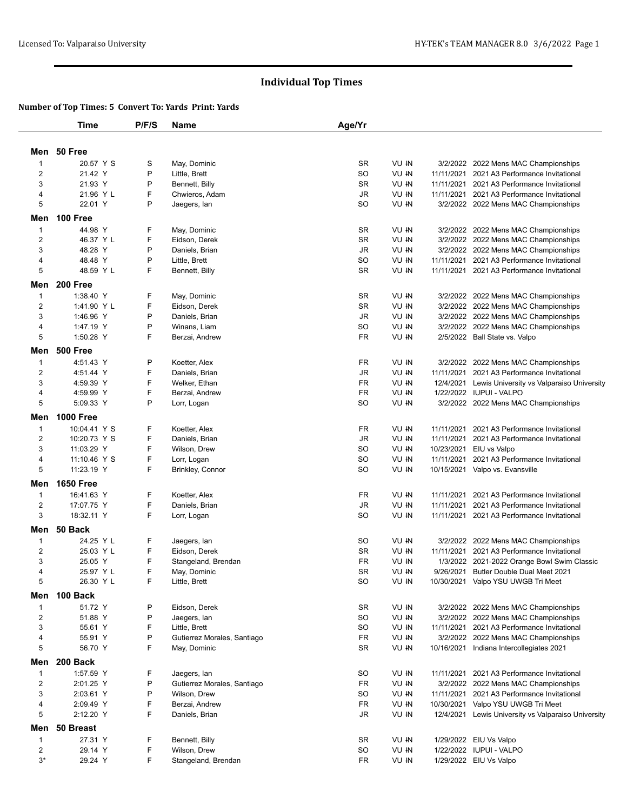# **Individual Top Times**

### **Number of Top Times: 5 Convert To: Yards Print: Yards**

|                               | <b>Time</b>          | P/F/S  | Name                          | Age/Yr          |                |            |                                                                          |
|-------------------------------|----------------------|--------|-------------------------------|-----------------|----------------|------------|--------------------------------------------------------------------------|
|                               |                      |        |                               |                 |                |            |                                                                          |
|                               | Men 50 Free          |        |                               |                 |                |            |                                                                          |
| $\mathbf 1$<br>$\overline{2}$ | 20.57 Y S<br>21.42 Y | S<br>P | May, Dominic<br>Little, Brett | <b>SR</b><br>SO | VU IN<br>VU IN | 11/11/2021 | 3/2/2022 2022 Mens MAC Championships<br>2021 A3 Performance Invitational |
| 3                             | 21.93 Y              | P      | Bennett, Billy                | <b>SR</b>       | VU IN          |            | 11/11/2021 2021 A3 Performance Invitational                              |
|                               | 21.96 Y L            | F      | Chwieros, Adam                | <b>JR</b>       | VU IN          |            | 11/11/2021 2021 A3 Performance Invitational                              |
| 4<br>5                        | 22.01 Y              | P      |                               | SO              | VU IN          |            |                                                                          |
|                               |                      |        | Jaegers, lan                  |                 |                |            | 3/2/2022 2022 Mens MAC Championships                                     |
| Men                           | 100 Free             |        |                               |                 |                |            |                                                                          |
| $\mathbf 1$                   | 44.98 Y              | F      | May, Dominic                  | SR              | VU IN          |            | 3/2/2022 2022 Mens MAC Championships                                     |
| $\overline{c}$                | 46.37 Y L            | F      | Eidson, Derek                 | SR              | VU IN          |            | 3/2/2022 2022 Mens MAC Championships                                     |
| 3                             | 48.28 Y              | P      | Daniels, Brian                | <b>JR</b>       | VU IN          |            | 3/2/2022 2022 Mens MAC Championships                                     |
| 4                             | 48.48 Y              | P      | Little, Brett                 | <b>SO</b>       | VU IN          | 11/11/2021 | 2021 A3 Performance Invitational                                         |
| 5                             | 48.59 Y L            | F      | Bennett, Billy                | <b>SR</b>       | VU IN          |            | 11/11/2021 2021 A3 Performance Invitational                              |
| Men                           | 200 Free             |        |                               |                 |                |            |                                                                          |
| $\mathbf{1}$                  | 1:38.40 Y            | F      | May, Dominic                  | <b>SR</b>       | VU IN          |            | 3/2/2022 2022 Mens MAC Championships                                     |
| $\overline{2}$                | 1:41.90 Y L          | F      | Eidson, Derek                 | SR              | VU IN          |            | 3/2/2022 2022 Mens MAC Championships                                     |
| 3                             | 1:46.96 Y            | P      | Daniels, Brian                | <b>JR</b>       | VU IN          |            | 3/2/2022 2022 Mens MAC Championships                                     |
| 4                             | 1:47.19 Y            | P      | Winans, Liam                  | <b>SO</b>       | VU IN          |            | 3/2/2022 2022 Mens MAC Championships                                     |
| 5                             | 1:50.28 Y            | F      | Berzai, Andrew                | FR.             | VU IN          |            | 2/5/2022 Ball State vs. Valpo                                            |
|                               |                      |        |                               |                 |                |            |                                                                          |
| Men                           | <b>500 Free</b>      |        |                               |                 |                |            |                                                                          |
| $\mathbf{1}$                  | 4:51.43 Y            | P      | Koetter, Alex                 | FR              | VU IN          |            | 3/2/2022 2022 Mens MAC Championships                                     |
| $\overline{2}$                | 4:51.44 Y            | F      | Daniels, Brian                | JR              | VU IN          | 11/11/2021 | 2021 A3 Performance Invitational                                         |
| 3                             | 4:59.39 Y            | F      | Welker, Ethan                 | <b>FR</b>       | VU IN          | 12/4/2021  | Lewis University vs Valparaiso University                                |
| 4                             | 4:59.99 Y            | F      | Berzai, Andrew                | <b>FR</b>       | VU IN          |            | 1/22/2022 IUPUI - VALPO                                                  |
| 5                             | 5:09.33 Y            | P      | Lorr, Logan                   | SO              | VU IN          |            | 3/2/2022 2022 Mens MAC Championships                                     |
| Men                           | <b>1000 Free</b>     |        |                               |                 |                |            |                                                                          |
| $\mathbf{1}$                  | 10:04.41 Y S         | F      | Koetter, Alex                 | FR              | VU IN          | 11/11/2021 | 2021 A3 Performance Invitational                                         |
| 2                             | 10:20.73 Y S         | F      | Daniels, Brian                | <b>JR</b>       | VU IN          | 11/11/2021 | 2021 A3 Performance Invitational                                         |
|                               |                      |        |                               |                 |                |            |                                                                          |
| 3                             | 11:03.29 Y           | F      | Wilson, Drew                  | <b>SO</b>       | VU IN          | 10/23/2021 | EIU vs Valpo                                                             |
| 4                             | 11:10.46 Y S         | F      | Lorr, Logan                   | SO              | VU IN          | 11/11/2021 | 2021 A3 Performance Invitational                                         |
| 5                             | 11:23.19 Y           | F      | Brinkley, Connor              | <b>SO</b>       | VU IN          |            | 10/15/2021 Valpo vs. Evansville                                          |
| Men                           | <b>1650 Free</b>     |        |                               |                 |                |            |                                                                          |
| $\mathbf{1}$                  | 16:41.63 Y           | F      | Koetter, Alex                 | FR              | VU IN          | 11/11/2021 | 2021 A3 Performance Invitational                                         |
| $\overline{c}$                | 17:07.75 Y           | F      | Daniels, Brian                | <b>JR</b>       | VU IN          | 11/11/2021 | 2021 A3 Performance Invitational                                         |
| 3                             | 18:32.11 Y           | F      | Lorr, Logan                   | <b>SO</b>       | VU IN          |            | 11/11/2021 2021 A3 Performance Invitational                              |
| Men                           | 50 Back              |        |                               |                 |                |            |                                                                          |
| $\mathbf{1}$                  | 24.25 Y L            | F      | Jaegers, lan                  | <b>SO</b>       | VU IN          |            | 3/2/2022 2022 Mens MAC Championships                                     |
| $\overline{2}$                | 25.03 Y L            | F      | Eidson, Derek                 | SR              | VU IN          | 11/11/2021 | 2021 A3 Performance Invitational                                         |
| 3                             | 25.05 Y              | F      | Stangeland, Brendan           | FR              | VU IN          | 1/3/2022   | 2021-2022 Orange Bowl Swim Classic                                       |
| $\overline{4}$                | 25.97 Y L            | F      | May, Dominic                  | <b>SR</b>       | VU IN          | 9/26/2021  | Butler Double Dual Meet 2021                                             |
| 5                             | 26.30 Y L            | F      | Little, Brett                 | SO              | VU IN          |            | 10/30/2021 Valpo YSU UWGB Tri Meet                                       |
|                               |                      |        |                               |                 |                |            |                                                                          |
| Men                           | 100 Back             |        |                               |                 |                |            |                                                                          |
| $\mathbf{1}$                  | 51.72 Y              | P      | Eidson, Derek                 | SR              | VU IN          |            | 3/2/2022 2022 Mens MAC Championships                                     |
| $\overline{2}$                | 51.88 Y              | P      | Jaegers, lan                  | <b>SO</b>       | VU IN          |            | 3/2/2022 2022 Mens MAC Championships                                     |
| 3                             | 55.61 Y              | F      | Little, Brett                 | SO              | VU IN          | 11/11/2021 | 2021 A3 Performance Invitational                                         |
| $\overline{\mathbf{4}}$       | 55.91 Y              | P      | Gutierrez Morales, Santiago   | FR              | VU IN          |            | 3/2/2022 2022 Mens MAC Championships                                     |
| 5                             | 56.70 Y              | F      | May, Dominic                  | SR              | VU IN          |            | 10/16/2021 Indiana Intercollegiates 2021                                 |
| Men                           | 200 Back             |        |                               |                 |                |            |                                                                          |
| 1                             | 1:57.59 Y            | F      | Jaegers, lan                  | SO              | VU IN          |            | 11/11/2021 2021 A3 Performance Invitational                              |
| $\overline{2}$                | 2:01.25 Y            | P      | Gutierrez Morales, Santiago   | FR              | VU IN          | 3/2/2022   | 2022 Mens MAC Championships                                              |
| 3                             | 2:03.61 Y            | P      | Wilson, Drew                  | SO              | VU IN          | 11/11/2021 | 2021 A3 Performance Invitational                                         |
| 4                             | 2:09.49 Y            | F      | Berzai, Andrew                | FR              | VU IN          | 10/30/2021 | Valpo YSU UWGB Tri Meet                                                  |
| 5                             | 2:12.20 Y            | F      | Daniels, Brian                | JR              | VU IN          | 12/4/2021  | Lewis University vs Valparaiso University                                |
|                               |                      |        |                               |                 |                |            |                                                                          |
| Men                           | 50 Breast            |        |                               |                 |                |            |                                                                          |
| $\mathbf{1}$                  | 27.31 Y              | F      | Bennett, Billy                | SR              | VU IN          |            | 1/29/2022 EIU Vs Valpo                                                   |
| $\overline{\mathbf{c}}$       | 29.14 Y              | F      | Wilson, Drew                  | SO              | VU IN          |            | 1/22/2022 IUPUI - VALPO                                                  |
| $3*$                          | 29.24 Y              | F      | Stangeland, Brendan           | FR.             | VU IN          |            | 1/29/2022 EIU Vs Valpo                                                   |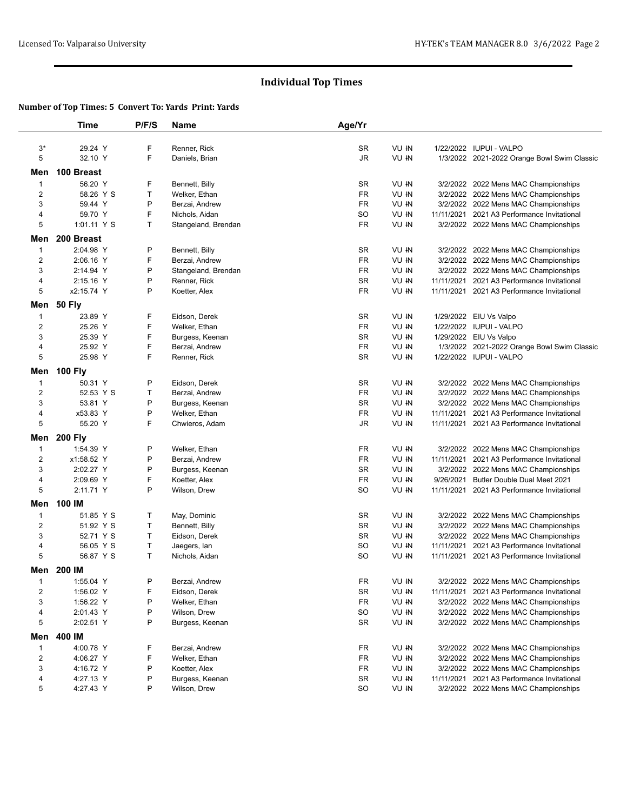# **Individual Top Times**

### **Number of Top Times: 5 Convert To: Yards Print: Yards**

|                         | <b>Time</b>    | P/F/S | <b>Name</b>         | Age/Yr    |       |            |                                             |
|-------------------------|----------------|-------|---------------------|-----------|-------|------------|---------------------------------------------|
| $3^*$                   | 29.24 Y        | F     | Renner, Rick        | SR        | VU IN |            | 1/22/2022 IUPUI - VALPO                     |
| 5                       | 32.10 Y        | F     | Daniels, Brian      | JR        | VU IN |            | 1/3/2022 2021-2022 Orange Bowl Swim Classic |
|                         |                |       |                     |           |       |            |                                             |
| Men                     | 100 Breast     |       |                     |           |       |            |                                             |
| 1                       | 56.20 Y        | F     | Bennett, Billy      | SR        | VU IN |            | 3/2/2022 2022 Mens MAC Championships        |
| $\overline{\mathbf{c}}$ | 58.26 Y S      | Τ     | Welker, Ethan       | FR        | VU IN |            | 3/2/2022 2022 Mens MAC Championships        |
| 3                       | 59.44 Y        | Ρ     | Berzai, Andrew      | FR        | VU IN |            | 3/2/2022 2022 Mens MAC Championships        |
| 4                       | 59.70 Y        | F     | Nichols, Aidan      | SO        | VU IN |            | 11/11/2021 2021 A3 Performance Invitational |
| 5                       | 1:01.11 Y S    | Τ     | Stangeland, Brendan | FR        | VU IN |            | 3/2/2022 2022 Mens MAC Championships        |
| Men                     | 200 Breast     |       |                     |           |       |            |                                             |
| 1                       | 2:04.98 Y      | P     | Bennett, Billy      | SR        | VU IN |            | 3/2/2022 2022 Mens MAC Championships        |
| $\overline{c}$          | 2:06.16 Y      | F     | Berzai, Andrew      | FR        | VU IN |            | 3/2/2022 2022 Mens MAC Championships        |
| 3                       | 2:14.94 Y      | P     | Stangeland, Brendan | FR        | VU IN |            | 3/2/2022 2022 Mens MAC Championships        |
| 4                       | 2:15.16 Y      | Ρ     | Renner, Rick        | SR        | VU IN |            | 11/11/2021 2021 A3 Performance Invitational |
| 5                       | x2:15.74 Y     | P     | Koetter, Alex       | FR        | VU IN |            | 11/11/2021 2021 A3 Performance Invitational |
| Men                     | <b>50 Fly</b>  |       |                     |           |       |            |                                             |
| $\mathbf{1}$            | 23.89 Y        | F     | Eidson, Derek       | SR        | VU IN |            | 1/29/2022 EIU Vs Valpo                      |
| $\overline{c}$          | 25.26 Y        | F     | Welker, Ethan       | FR        | VU IN |            | 1/22/2022 IUPUI - VALPO                     |
| 3                       | 25.39 Y        | F     | Burgess, Keenan     | SR        | VU IN |            | 1/29/2022 EIU Vs Valpo                      |
| 4                       | 25.92 Y        | F     | Berzai, Andrew      | FR        | VU IN |            | 1/3/2022 2021-2022 Orange Bowl Swim Classic |
| 5                       | 25.98 Y        | F     | Renner, Rick        | SR        | VU IN |            | 1/22/2022 IUPUI - VALPO                     |
| Men                     | <b>100 Fly</b> |       |                     |           |       |            |                                             |
| 1                       | 50.31 Y        | Ρ     | Eidson, Derek       | SR        | VU IN |            | 3/2/2022 2022 Mens MAC Championships        |
| $\overline{2}$          | 52.53 Y S      | Τ     | Berzai, Andrew      | FR        | VU IN |            | 3/2/2022 2022 Mens MAC Championships        |
| 3                       | 53.81 Y        | P     | Burgess, Keenan     | SR        | VU IN |            | 3/2/2022 2022 Mens MAC Championships        |
| 4                       | x53.83 Y       | Ρ     | Welker, Ethan       | FR        | VU IN | 11/11/2021 | 2021 A3 Performance Invitational            |
| 5                       | 55.20 Y        | F     | Chwieros, Adam      | JR        | VU IN |            | 11/11/2021 2021 A3 Performance Invitational |
| Men                     | <b>200 Fly</b> |       |                     |           |       |            |                                             |
| 1                       | 1:54.39 Y      | Ρ     | Welker, Ethan       | FR        | VU IN |            | 3/2/2022 2022 Mens MAC Championships        |
| $\overline{\mathbf{c}}$ | x1:58.52 Y     | Ρ     | Berzai, Andrew      | FR        | VU IN |            | 11/11/2021 2021 A3 Performance Invitational |
| 3                       | 2:02.27 Y      | P     | Burgess, Keenan     | SR        | VU IN |            | 3/2/2022 2022 Mens MAC Championships        |
| 4                       | 2:09.69 Y      | F     | Koetter, Alex       | FR        | VU IN | 9/26/2021  | <b>Butler Double Dual Meet 2021</b>         |
| 5                       | 2:11.71 Y      | P     | Wilson, Drew        | SO        | VU IN | 11/11/2021 | 2021 A3 Performance Invitational            |
| Men                     | 100 IM         |       |                     |           |       |            |                                             |
| 1                       | 51.85 Y S      | т     | May, Dominic        | SR        | VU IN |            | 3/2/2022 2022 Mens MAC Championships        |
| $\overline{\mathbf{c}}$ | 51.92 Y S      | Τ     | Bennett, Billy      | SR        | VU IN |            | 3/2/2022 2022 Mens MAC Championships        |
| 3                       | 52.71 Y S      | T     | Eidson, Derek       | <b>SR</b> | VU IN |            | 3/2/2022 2022 Mens MAC Championships        |
| 4                       | 56.05 Y S      | Τ     | Jaegers, lan        | SO        | VU IN | 11/11/2021 | 2021 A3 Performance Invitational            |
| 5                       | 56.87 Y S      | T     | Nichols, Aidan      | SO        | VU IN |            | 11/11/2021 2021 A3 Performance Invitational |
| Men                     | 200 IM         |       |                     |           |       |            |                                             |
| 1                       | 1:55.04 Y      | Ρ     | Berzai, Andrew      | FR        | VU IN |            | 3/2/2022 2022 Mens MAC Championships        |
| $\overline{\mathbf{c}}$ | 1:56.02 Y      | F     | Eidson, Derek       | SR        | VU IN |            | 11/11/2021 2021 A3 Performance Invitational |
| 3                       | 1:56.22 Y      | Ρ     | Welker, Ethan       | FR        | VU IN |            | 3/2/2022 2022 Mens MAC Championships        |
| 4                       | 2:01.43 Y      | P     | Wilson, Drew        | SO        | VU IN |            | 3/2/2022 2022 Mens MAC Championships        |
| 5                       | 2:02.51 Y      | Ρ     | Burgess, Keenan     | SR        | VU IN |            | 3/2/2022 2022 Mens MAC Championships        |
| Men                     | 400 IM         |       |                     |           |       |            |                                             |
| $\mathbf{1}$            | 4:00.78 Y      | F     | Berzai, Andrew      | <b>FR</b> | VU IN |            | 3/2/2022 2022 Mens MAC Championships        |
| $\overline{\mathbf{c}}$ | 4:06.27 Y      | F     | Welker, Ethan       | FR        | VU IN |            | 3/2/2022 2022 Mens MAC Championships        |
| 3                       | 4:16.72 Y      | P     | Koetter, Alex       | FR        | VU IN |            | 3/2/2022 2022 Mens MAC Championships        |
| 4                       | 4:27.13 Y      | P     | Burgess, Keenan     | SR        | VU IN |            | 11/11/2021 2021 A3 Performance Invitational |
| 5                       | 4:27.43 Y      | P     | Wilson, Drew        | SO        | VU IN |            | 3/2/2022 2022 Mens MAC Championships        |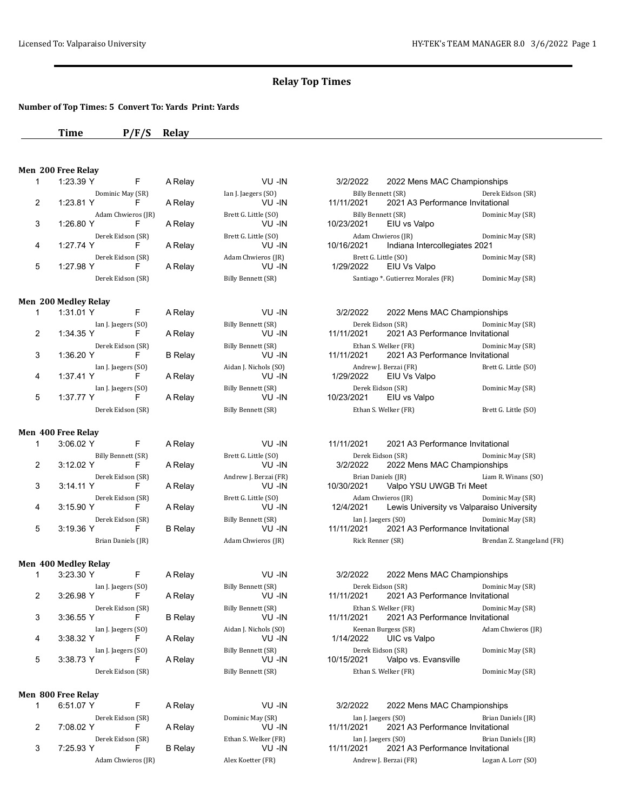## **Relay Top Times**

### **Number of Top Times: 5 Convert To: Yards Print: Yards**

| Time | $P/F/S$ Relay |  |
|------|---------------|--|
|------|---------------|--|

# **Men 200 Free Relay**<br>1 1:23.39 Y

| 1 | 1:23.39 Y                        | F                       | A Relay        | VU-IN                           | 3/2/2022                                | 2022 Mens MAC Championships                                     |                            |
|---|----------------------------------|-------------------------|----------------|---------------------------------|-----------------------------------------|-----------------------------------------------------------------|----------------------------|
| 2 | Dominic May (SR)<br>1:23.81 Y    | F                       | A Relay        | Ian J. Jaegers (SO)<br>VU -IN   | <b>Billy Bennett (SR)</b><br>11/11/2021 | 2021 A3 Performance Invitational                                | Derek Eidson (SR)          |
| 3 | 1:26.80 Y                        | Adam Chwieros (JR)<br>F | A Relay        | Brett G. Little (SO)<br>VU -IN  | 10/23/2021                              | Billy Bennett (SR)<br>EIU vs Valpo                              | Dominic May (SR)           |
| 4 | Derek Eidson (SR)<br>1:27.74 Y   | F.                      | A Relay        | Brett G. Little (SO)<br>VU -IN  | 10/16/2021                              | Adam Chwieros (JR)<br>Indiana Intercollegiates 2021             | Dominic May (SR)           |
| 5 | Derek Eidson (SR)<br>1:27.98 Y   | F                       | A Relay        | Adam Chwieros (JR)<br>VU -IN    | 1/29/2022                               | Brett G. Little (SO)<br>EIU Vs Valpo                            | Dominic May (SR)           |
|   | Derek Eidson (SR)                |                         |                | Billy Bennett (SR)              |                                         | Santiago *. Gutierrez Morales (FR)                              | Dominic May (SR)           |
|   | Men 200 Medley Relay             |                         |                |                                 |                                         |                                                                 |                            |
| 1 | 1:31.01 Y                        | F                       | A Relay        | VU-IN                           | 3/2/2022                                | 2022 Mens MAC Championships                                     |                            |
| 2 | Ian J. Jaegers (SO)<br>1:34.35 Y | F                       | A Relay        | Billy Bennett (SR)<br>VU-IN     | 11/11/2021                              | Derek Eidson (SR)<br>2021 A3 Performance Invitational           | Dominic May (SR)           |
| 3 | Derek Eidson (SR)<br>1:36.20 Y   | F                       | <b>B</b> Relay | Billy Bennett (SR)<br>VU-IN     | 11/11/2021                              | Ethan S. Welker (FR)<br>2021 A3 Performance Invitational        | Dominic May (SR)           |
| 4 | Ian J. Jaegers (SO)<br>1:37.41 Y | F                       | A Relay        | Aidan J. Nichols (SO)<br>VU -IN | 1/29/2022                               | Andrew J. Berzai (FR)<br>EIU Vs Valpo                           | Brett G. Little (SO)       |
| 5 | Ian J. Jaegers (SO)<br>1:37.77 Y | F.                      | A Relay        | Billy Bennett (SR)<br>VU-IN     | 10/23/2021                              | Derek Eidson (SR)<br>EIU vs Valpo                               | Dominic May (SR)           |
|   | Derek Eidson (SR)                |                         |                | Billy Bennett (SR)              |                                         | Ethan S. Welker (FR)                                            | Brett G. Little (SO)       |
|   | Men 400 Free Relay               |                         |                |                                 |                                         |                                                                 |                            |
| 1 | 3:06.02 Y                        | F                       | A Relay        | VU -IN                          | 11/11/2021                              | 2021 A3 Performance Invitational                                |                            |
| 2 | Billy Bennett (SR)<br>3:12.02 Y  | F                       | A Relay        | Brett G. Little (SO)<br>VU -IN  | 3/2/2022                                | Derek Eidson (SR)<br>2022 Mens MAC Championships                | Dominic May (SR)           |
| 3 | Derek Eidson (SR)<br>3:14.11 Y   | F                       | A Relay        | Andrew J. Berzai (FR)<br>VU -IN | 10/30/2021                              | Brian Daniels (JR)<br>Valpo YSU UWGB Tri Meet                   | Liam R. Winans (SO)        |
| 4 | Derek Eidson (SR)<br>3:15.90 Y   | F                       | A Relay        | Brett G. Little (SO)<br>VU-IN   | 12/4/2021                               | Adam Chwieros (JR)<br>Lewis University vs Valparaiso University | Dominic May (SR)           |
| 5 | Derek Eidson (SR)<br>3:19.36 Y   | F                       | <b>B</b> Relay | Billy Bennett (SR)<br>VU -IN    | Ian J. Jaegers (SO)<br>11/11/2021       | 2021 A3 Performance Invitational                                | Dominic May (SR)           |
|   | Brian Daniels (JR)               |                         |                | Adam Chwieros (JR)              | Rick Renner (SR)                        |                                                                 | Brendan Z. Stangeland (FR) |
|   | Men 400 Medley Relay             |                         |                |                                 |                                         |                                                                 |                            |
| 1 | 3:23.30 Y                        | F                       | A Relay        | VU-IN                           | 3/2/2022                                | 2022 Mens MAC Championships                                     |                            |
| 2 | Ian J. Jaegers (SO)<br>3:26.98 Y | F                       | A Relay        | Billy Bennett (SR)<br>VU -IN    | 11/11/2021                              | Derek Eidson (SR)<br>2021 A3 Performance Invitational           | Dominic May (SR)           |
| 3 | Derek Eidson (SR)<br>3:36.55 Y   | F                       | <b>B</b> Relay | Billy Bennett (SR)<br>VU -IN    | 11/11/2021                              | Ethan S. Welker (FR)<br>2021 A3 Performance Invitational        | Dominic May (SR)           |
| 4 | Ian J. Jaegers (SO)<br>3:38.32 Y | F                       | A Relay        | Aidan J. Nichols (SO)<br>VU-IN  | 1/14/2022                               | Keenan Burgess (SR)<br>UIC vs Valpo                             | Adam Chwieros (JR)         |
| 5 | Ian J. Jaegers (SO)<br>3:38.73 Y | F.                      | A Relay        | Billy Bennett (SR)<br>VU-IN     | 10/15/2021                              | Derek Eidson (SR)<br>Valpo vs. Evansville                       | Dominic May (SR)           |
|   | Derek Eidson (SR)                |                         |                | Billy Bennett (SR)              |                                         | Ethan S. Welker (FR)                                            | Dominic May (SR)           |
|   | Men 800 Free Relay               |                         |                |                                 |                                         |                                                                 |                            |
| 1 | 6:51.07 Y                        | F                       | A Relay        | VU-IN                           | 3/2/2022                                | 2022 Mens MAC Championships                                     |                            |
| 2 | Derek Eidson (SR)<br>7:08.02 Y   | F                       | A Relay        | Dominic May (SR)<br>VU -IN      | Ian J. Jaegers (SO)<br>11/11/2021       | 2021 A3 Performance Invitational                                | Brian Daniels (JR)         |
| 3 | Derek Eidson (SR)<br>7:25.93 Y   | F                       | <b>B</b> Relay | Ethan S. Welker (FR)<br>VU -IN  | Ian J. Jaegers (SO)<br>11/11/2021       | 2021 A3 Performance Invitational                                | Brian Daniels (JR)         |

Adam Chwieros (JR) Alex Koetter (FR) Andrew J. Berzai (FR) Logan A. Lorr (SO)